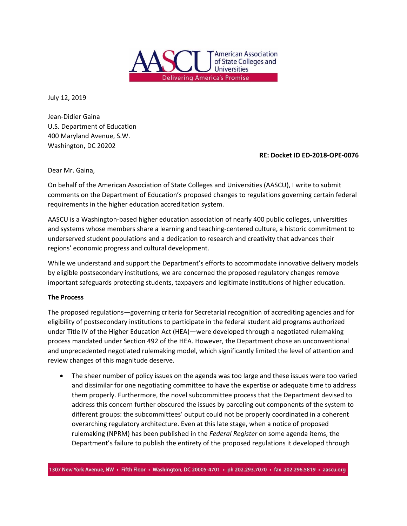

July 12, 2019

Jean‐Didier Gaina U.S. Department of Education 400 Maryland Avenue, S.W. Washington, DC 20202

## **RE: Docket ID ED‐2018‐OPE‐0076**

Dear Mr. Gaina,

On behalf of the American Association of State Colleges and Universities (AASCU), I write to submit comments on the Department of Education's proposed changes to regulations governing certain federal requirements in the higher education accreditation system.

AASCU is a Washington‐based higher education association of nearly 400 public colleges, universities and systems whose members share a learning and teaching‐centered culture, a historic commitment to underserved student populations and a dedication to research and creativity that advances their regions' economic progress and cultural development.

While we understand and support the Department's efforts to accommodate innovative delivery models by eligible postsecondary institutions, we are concerned the proposed regulatory changes remove important safeguards protecting students, taxpayers and legitimate institutions of higher education.

## **The Process**

The proposed regulations—governing criteria for Secretarial recognition of accrediting agencies and for eligibility of postsecondary institutions to participate in the federal student aid programs authorized under Title IV of the Higher Education Act (HEA)—were developed through a negotiated rulemaking process mandated under Section 492 of the HEA. However, the Department chose an unconventional and unprecedented negotiated rulemaking model, which significantly limited the level of attention and review changes of this magnitude deserve.

 The sheer number of policy issues on the agenda was too large and these issues were too varied and dissimilar for one negotiating committee to have the expertise or adequate time to address them properly. Furthermore, the novel subcommittee process that the Department devised to address this concern further obscured the issues by parceling out components of the system to different groups: the subcommittees' output could not be properly coordinated in a coherent overarching regulatory architecture. Even at this late stage, when a notice of proposed rulemaking (NPRM) has been published in the *Federal Register* on some agenda items, the Department's failure to publish the entirety of the proposed regulations it developed through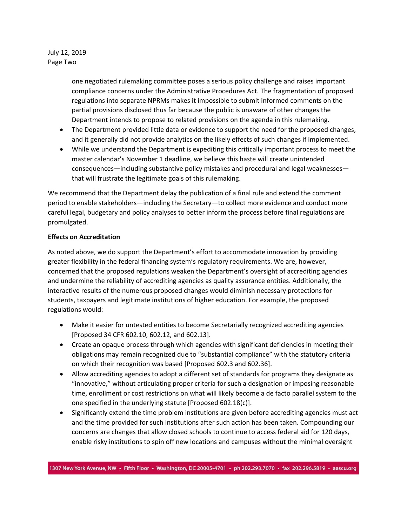## July 12, 2019 Page Two

one negotiated rulemaking committee poses a serious policy challenge and raises important compliance concerns under the Administrative Procedures Act. The fragmentation of proposed regulations into separate NPRMs makes it impossible to submit informed comments on the partial provisions disclosed thus far because the public is unaware of other changes the Department intends to propose to related provisions on the agenda in this rulemaking.

- The Department provided little data or evidence to support the need for the proposed changes, and it generally did not provide analytics on the likely effects of such changes if implemented.
- While we understand the Department is expediting this critically important process to meet the master calendar's November 1 deadline, we believe this haste will create unintended consequences—including substantive policy mistakes and procedural and legal weaknesses that will frustrate the legitimate goals of this rulemaking.

We recommend that the Department delay the publication of a final rule and extend the comment period to enable stakeholders—including the Secretary—to collect more evidence and conduct more careful legal, budgetary and policy analyses to better inform the process before final regulations are promulgated.

# **Effects on Accreditation**

As noted above, we do support the Department's effort to accommodate innovation by providing greater flexibility in the federal financing system's regulatory requirements. We are, however, concerned that the proposed regulations weaken the Department's oversight of accrediting agencies and undermine the reliability of accrediting agencies as quality assurance entities. Additionally, the interactive results of the numerous proposed changes would diminish necessary protections for students, taxpayers and legitimate institutions of higher education. For example, the proposed regulations would:

- Make it easier for untested entities to become Secretarially recognized accrediting agencies [Proposed 34 CFR 602.10, 602.12, and 602.13].
- Create an opaque process through which agencies with significant deficiencies in meeting their obligations may remain recognized due to "substantial compliance" with the statutory criteria on which their recognition was based [Proposed 602.3 and 602.36].
- Allow accrediting agencies to adopt a different set of standards for programs they designate as "innovative," without articulating proper criteria for such a designation or imposing reasonable time, enrollment or cost restrictions on what will likely become a de facto parallel system to the one specified in the underlying statute [Proposed 602.18(c)].
- Significantly extend the time problem institutions are given before accrediting agencies must act and the time provided for such institutions after such action has been taken. Compounding our concerns are changes that allow closed schools to continue to access federal aid for 120 days, enable risky institutions to spin off new locations and campuses without the minimal oversight